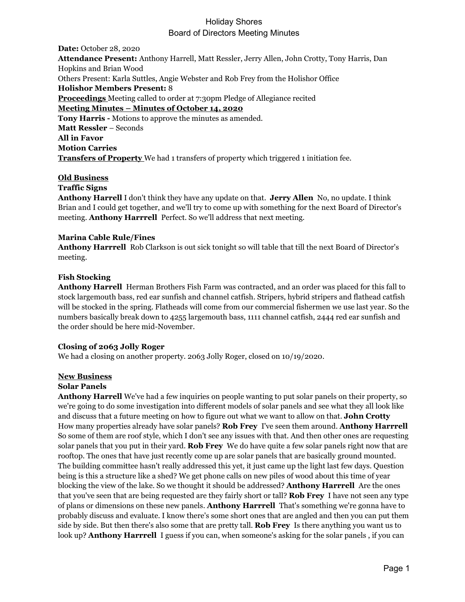# Holiday Shores Board of Directors Meeting Minutes

**Date:** October 28, 2020 **Attendance Present:** Anthony Harrell, Matt Ressler, Jerry Allen, John Crotty, Tony Harris, Dan Hopkins and Brian Wood Others Present: Karla Suttles, Angie Webster and Rob Frey from the Holishor Office **Holishor Members Present:** 8 **Proceedings** Meeting called to order at 7:30pm Pledge of Allegiance recited **Meeting Minutes – Minutes of October 14, 2020 Tony Harris -** Motions to approve the minutes as amended. **Matt Ressler** – Seconds **All in Favor Motion Carries Transfers of Property** We had 1 transfers of property which triggered 1 initiation fee.

## **Old Business**

#### **Traffic Signs**

**Anthony Harrell** I don't think they have any update on that. **Jerry Allen** No, no update. I think Brian and I could get together, and we'll try to come up with something for the next Board of Director's meeting. **Anthony Harrrell** Perfect. So we'll address that next meeting.

#### **Marina Cable Rule/Fines**

**Anthony Harrrell** Rob Clarkson is out sick tonight so will table that till the next Board of Director's meeting.

## **Fish Stocking**

**Anthony Harrell** Herman Brothers Fish Farm was contracted, and an order was placed for this fall to stock largemouth bass, red ear sunfish and channel catfish. Stripers, hybrid stripers and flathead catfish will be stocked in the spring. Flatheads will come from our commercial fishermen we use last year. So the numbers basically break down to 4255 largemouth bass, 1111 channel catfish, 2444 red ear sunfish and the order should be here mid-November.

#### **Closing of 2063 Jolly Roger**

We had a closing on another property. 2063 Jolly Roger, closed on  $10/19/2020$ .

#### **New Business**

#### **Solar Panels**

**Anthony Harrell** We've had a few inquiries on people wanting to put solar panels on their property, so we're going to do some investigation into different models of solar panels and see what they all look like and discuss that a future meeting on how to figure out what we want to allow on that. **John Crotty**  How many properties already have solar panels? **Rob Frey** I've seen them around. **Anthony Harrrell**  So some of them are roof style, which I don't see any issues with that. And then other ones are requesting solar panels that you put in their yard. **Rob Frey** We do have quite a few solar panels right now that are rooftop. The ones that have just recently come up are solar panels that are basically ground mounted. The building committee hasn't really addressed this yet, it just came up the light last few days. Question being is this a structure like a shed? We get phone calls on new piles of wood about this time of year blocking the view of the lake. So we thought it should be addressed? **Anthony Harrrell** Are the ones that you've seen that are being requested are they fairly short or tall? **Rob Frey** I have not seen any type of plans or dimensions on these new panels. **Anthony Harrrell** That's something we're gonna have to probably discuss and evaluate. I know there's some short ones that are angled and then you can put them side by side. But then there's also some that are pretty tall. **Rob Frey** Is there anything you want us to look up? **Anthony Harrrell** I guess if you can, when someone's asking for the solar panels , if you can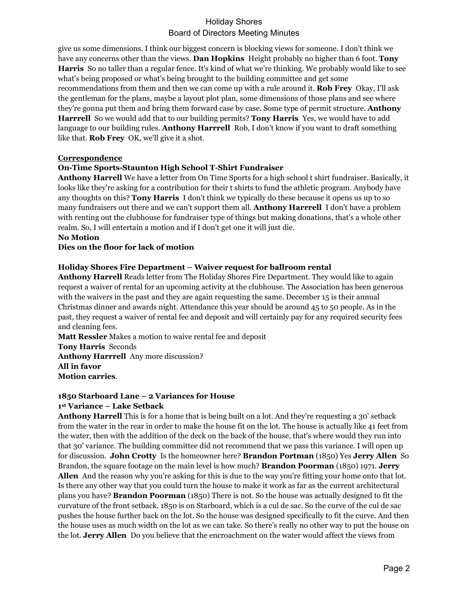# Holiday Shores Board of Directors Meeting Minutes

give us some dimensions. I think our biggest concern is blocking views for someone. I don't think we have any concerns other than the views. **Dan Hopkins** Height probably no higher than 6 foot. **Tony Harris** So no taller than a regular fence. It's kind of what we're thinking. We probably would like to see what's being proposed or what's being brought to the building committee and get some recommendations from them and then we can come up with a rule around it. **Rob Frey** Okay, I'll ask the gentleman for the plans, maybe a layout plot plan, some dimensions of those plans and see where they're gonna put them and bring them forward case by case. Some type of permit structure. **Anthony Harrrell** So we would add that to our building permits? **Tony Harris** Yes, we would have to add language to our building rules. **Anthony Harrrell** Rob, I don't know if you want to draft something like that. **Rob Frey** OK, we'll give it a shot.

## **Correspondence**

## **On-Time Sports-Staunton High School T-Shirt Fundraiser**

**Anthony Harrell** We have a letter from On Time Sports for a high school t shirt fundraiser. Basically, it looks like they're asking for a contribution for their t shirts to fund the athletic program. Anybody have any thoughts on this? **Tony Harris** I don't think we typically do these because it opens us up to so many fundraisers out there and we can't support them all. **Anthony Harrrell** I don't have a problem with renting out the clubhouse for fundraiser type of things but making donations, that's a whole other realm. So, I will entertain a motion and if I don't get one it will just die.

## **No Motion**

## **Dies on the floor for lack of motion**

## **Holiday Shores Fire Department – Waiver request for ballroom rental**

**Anthony Harrell** Reads letter from The Holiday Shores Fire Department. They would like to again request a waiver of rental for an upcoming activity at the clubhouse. The Association has been generous with the waivers in the past and they are again requesting the same. December 15 is their annual Christmas dinner and awards night. Attendance this year should be around 45 to 50 people. As in the past, they request a waiver of rental fee and deposit and will certainly pay for any required security fees and cleaning fees.

**Matt Ressler** Makes a motion to waive rental fee and deposit **Tony Harris** Seconds **Anthony Harrrell** Any more discussion? **All in favor Motion carries**.

## **1850 Starboard Lane – 2 Variances for House 1st Variance – Lake Setback**

**Anthony Harrell** This is for a home that is being built on a lot. And they're requesting a 30' setback from the water in the rear in order to make the house fit on the lot. The house is actually like 41 feet from the water, then with the addition of the deck on the back of the house, that's where would they run into that 30' variance. The building committee did not recommend that we pass this variance. I will open up for discussion. **John Crotty** Is the homeowner here? **Brandon Portman** (1850) Yes **Jerry Allen** So Brandon, the square footage on the main level is how much? **Brandon Poorman** (1850) 1971. **Jerry Allen** And the reason why you're asking for this is due to the way you're fitting your home onto that lot. Is there any other way that you could turn the house to make it work as far as the current architectural plans you have? **Brandon Poorman** (1850) There is not. So the house was actually designed to fit the curvature of the front setback. 1850 is on Starboard, which is a cul de sac. So the curve of the cul de sac pushes the house further back on the lot. So the house was designed specifically to fit the curve. And then the house uses as much width on the lot as we can take. So there's really no other way to put the house on the lot. **Jerry Allen** Do you believe that the encroachment on the water would affect the views from